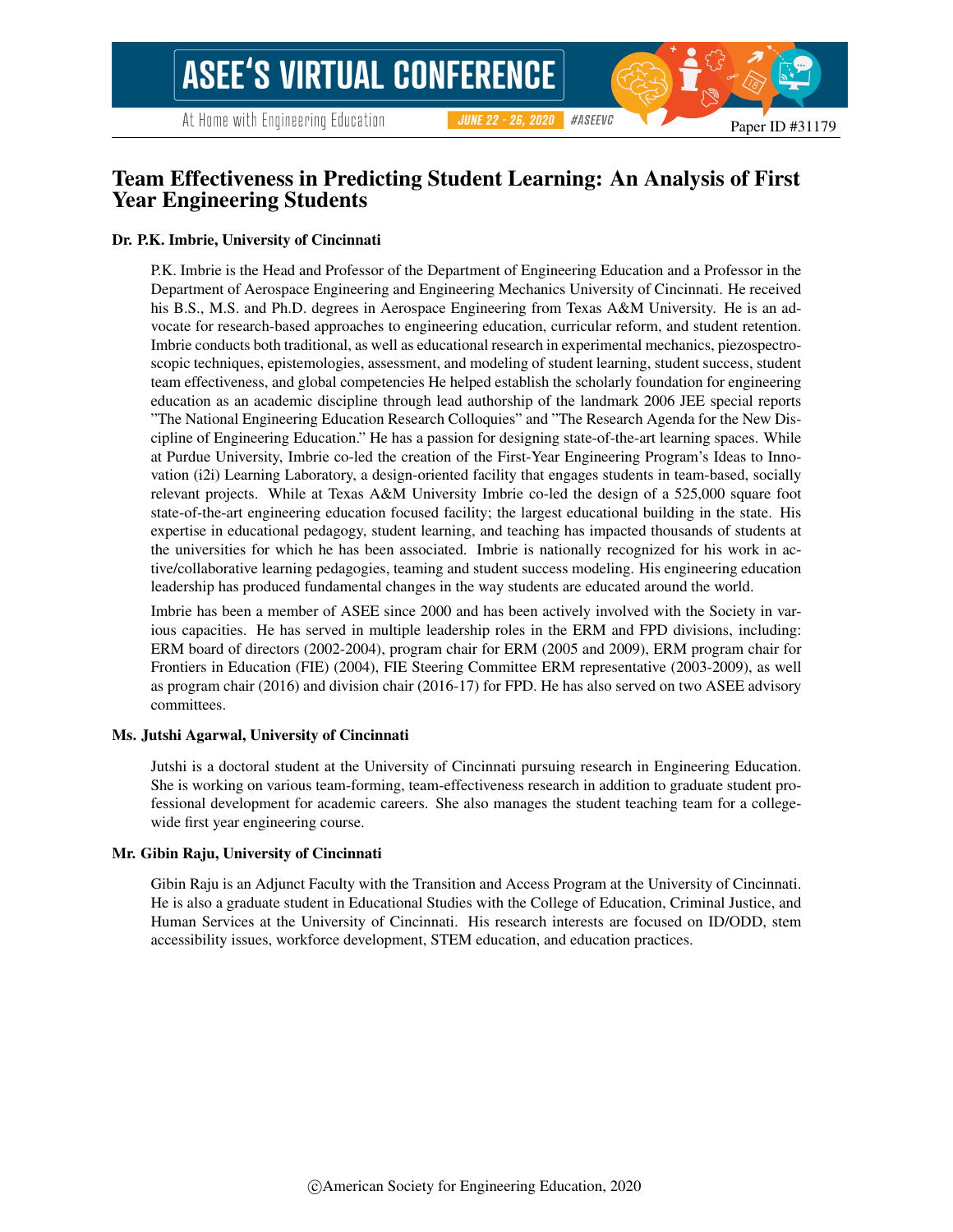# Team Effectiveness in Predicting Student Learning: An Analysis of First Year Engineering Students

#### Dr. P.K. Imbrie, University of Cincinnati

P.K. Imbrie is the Head and Professor of the Department of Engineering Education and a Professor in the Department of Aerospace Engineering and Engineering Mechanics University of Cincinnati. He received his B.S., M.S. and Ph.D. degrees in Aerospace Engineering from Texas A&M University. He is an advocate for research-based approaches to engineering education, curricular reform, and student retention. Imbrie conducts both traditional, as well as educational research in experimental mechanics, piezospectroscopic techniques, epistemologies, assessment, and modeling of student learning, student success, student team effectiveness, and global competencies He helped establish the scholarly foundation for engineering education as an academic discipline through lead authorship of the landmark 2006 JEE special reports "The National Engineering Education Research Colloquies" and "The Research Agenda for the New Discipline of Engineering Education." He has a passion for designing state-of-the-art learning spaces. While at Purdue University, Imbrie co-led the creation of the First-Year Engineering Program's Ideas to Innovation (i2i) Learning Laboratory, a design-oriented facility that engages students in team-based, socially relevant projects. While at Texas A&M University Imbrie co-led the design of a 525,000 square foot state-of-the-art engineering education focused facility; the largest educational building in the state. His expertise in educational pedagogy, student learning, and teaching has impacted thousands of students at the universities for which he has been associated. Imbrie is nationally recognized for his work in active/collaborative learning pedagogies, teaming and student success modeling. His engineering education leadership has produced fundamental changes in the way students are educated around the world.

Imbrie has been a member of ASEE since 2000 and has been actively involved with the Society in various capacities. He has served in multiple leadership roles in the ERM and FPD divisions, including: ERM board of directors (2002-2004), program chair for ERM (2005 and 2009), ERM program chair for Frontiers in Education (FIE) (2004), FIE Steering Committee ERM representative (2003-2009), as well as program chair (2016) and division chair (2016-17) for FPD. He has also served on two ASEE advisory committees.

#### Ms. Jutshi Agarwal, University of Cincinnati

Jutshi is a doctoral student at the University of Cincinnati pursuing research in Engineering Education. She is working on various team-forming, team-effectiveness research in addition to graduate student professional development for academic careers. She also manages the student teaching team for a collegewide first year engineering course.

#### Mr. Gibin Raju, University of Cincinnati

Gibin Raju is an Adjunct Faculty with the Transition and Access Program at the University of Cincinnati. He is also a graduate student in Educational Studies with the College of Education, Criminal Justice, and Human Services at the University of Cincinnati. His research interests are focused on ID/ODD, stem accessibility issues, workforce development, STEM education, and education practices.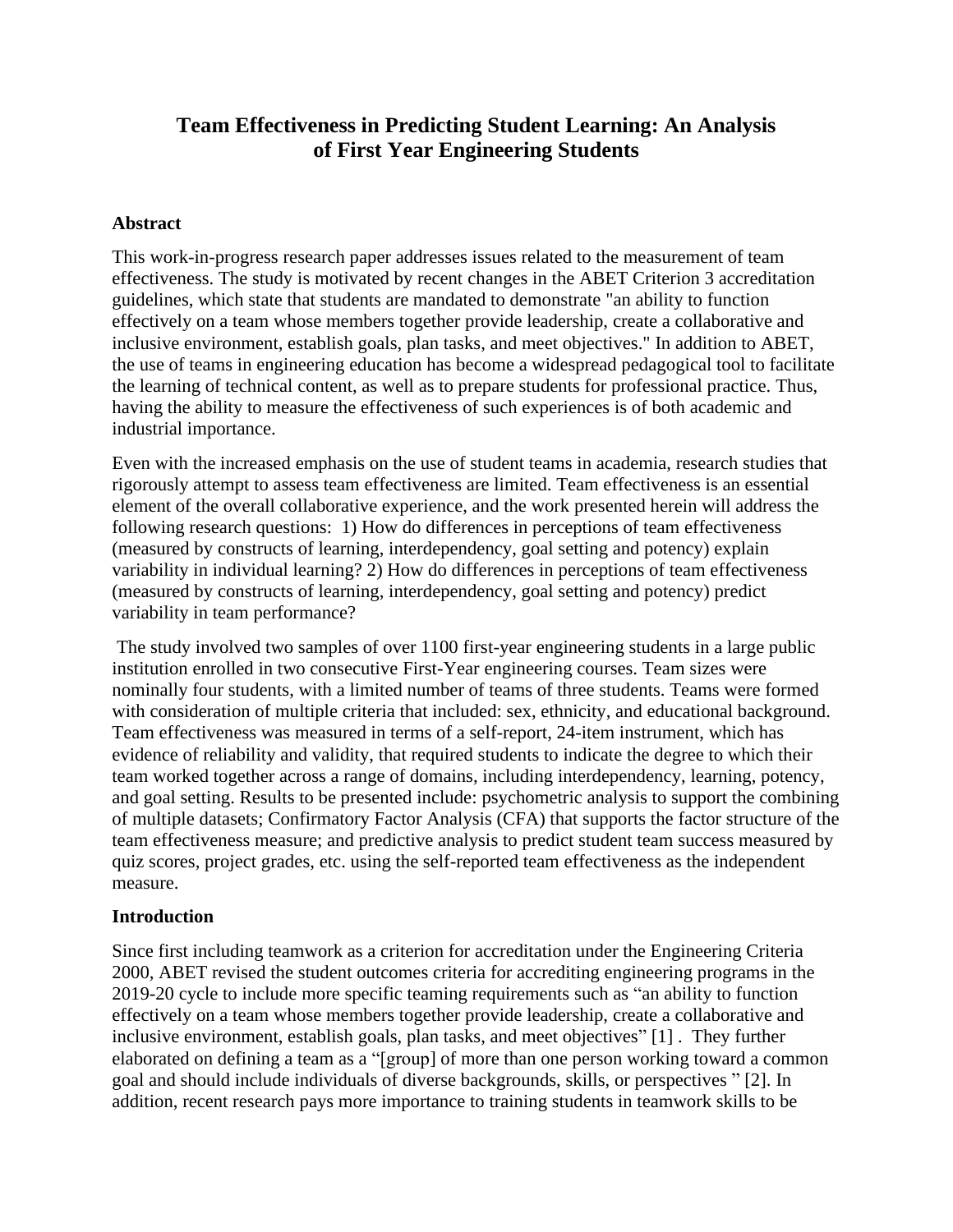# **Team Effectiveness in Predicting Student Learning: An Analysis of First Year Engineering Students**

### **Abstract**

This work-in-progress research paper addresses issues related to the measurement of team effectiveness. The study is motivated by recent changes in the ABET Criterion 3 accreditation guidelines, which state that students are mandated to demonstrate "an ability to function effectively on a team whose members together provide leadership, create a collaborative and inclusive environment, establish goals, plan tasks, and meet objectives." In addition to ABET, the use of teams in engineering education has become a widespread pedagogical tool to facilitate the learning of technical content, as well as to prepare students for professional practice. Thus, having the ability to measure the effectiveness of such experiences is of both academic and industrial importance.

Even with the increased emphasis on the use of student teams in academia, research studies that rigorously attempt to assess team effectiveness are limited. Team effectiveness is an essential element of the overall collaborative experience, and the work presented herein will address the following research questions: 1) How do differences in perceptions of team effectiveness (measured by constructs of learning, interdependency, goal setting and potency) explain variability in individual learning? 2) How do differences in perceptions of team effectiveness (measured by constructs of learning, interdependency, goal setting and potency) predict variability in team performance?

The study involved two samples of over 1100 first-year engineering students in a large public institution enrolled in two consecutive First-Year engineering courses. Team sizes were nominally four students, with a limited number of teams of three students. Teams were formed with consideration of multiple criteria that included: sex, ethnicity, and educational background. Team effectiveness was measured in terms of a self-report, 24-item instrument, which has evidence of reliability and validity, that required students to indicate the degree to which their team worked together across a range of domains, including interdependency, learning, potency, and goal setting. Results to be presented include: psychometric analysis to support the combining of multiple datasets; Confirmatory Factor Analysis (CFA) that supports the factor structure of the team effectiveness measure; and predictive analysis to predict student team success measured by quiz scores, project grades, etc. using the self-reported team effectiveness as the independent measure.

### **Introduction**

Since first including teamwork as a criterion for accreditation under the Engineering Criteria 2000, ABET revised the student outcomes criteria for accrediting engineering programs in the 2019-20 cycle to include more specific teaming requirements such as "an ability to function effectively on a team whose members together provide leadership, create a collaborative and inclusive environment, establish goals, plan tasks, and meet objectives" [1] . They further elaborated on defining a team as a "[group] of more than one person working toward a common goal and should include individuals of diverse backgrounds, skills, or perspectives " [2]. In addition, recent research pays more importance to training students in teamwork skills to be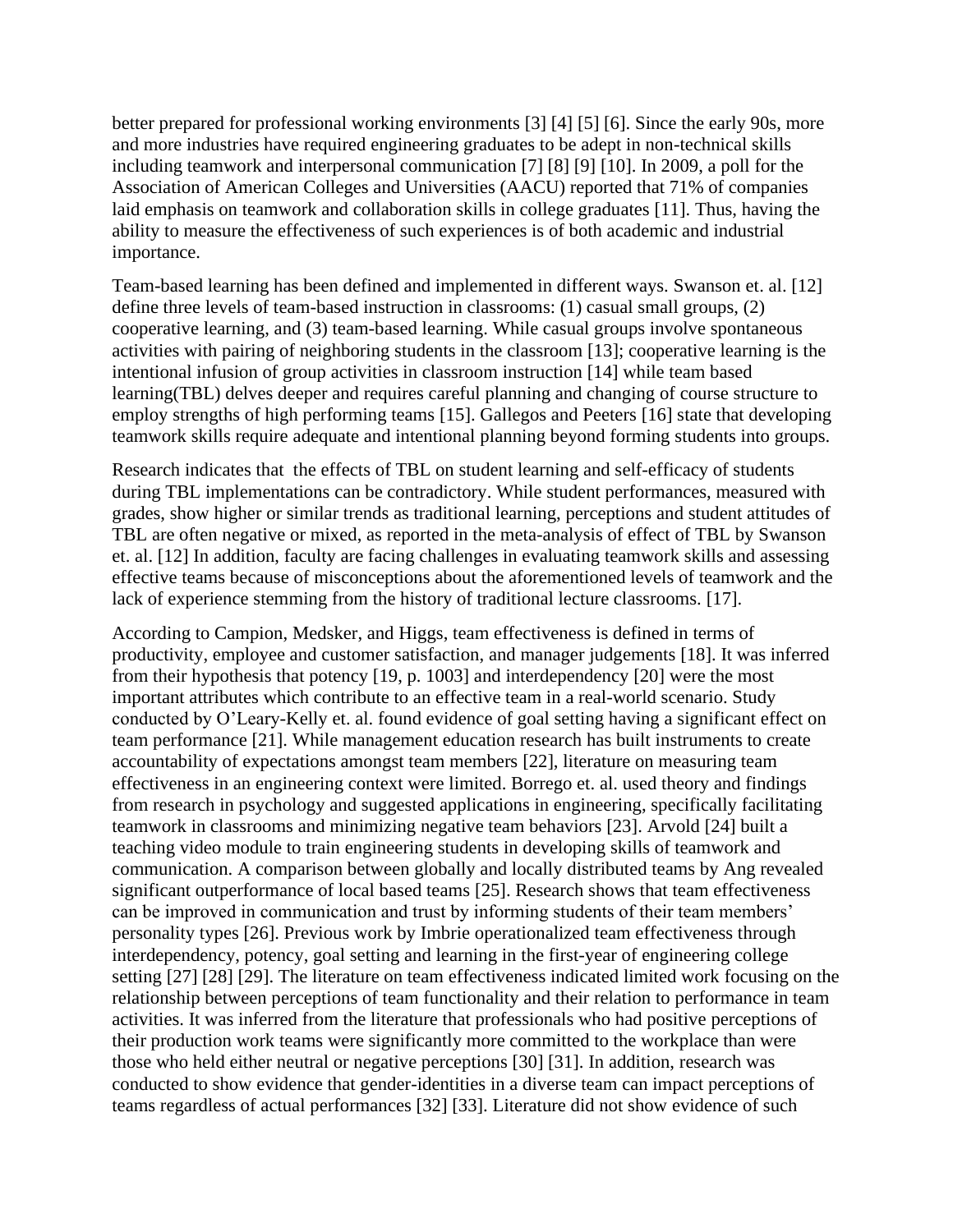better prepared for professional working environments [3] [4] [5] [6]. Since the early 90s, more and more industries have required engineering graduates to be adept in non-technical skills including teamwork and interpersonal communication [7] [8] [9] [10]. In 2009, a poll for the Association of American Colleges and Universities (AACU) reported that 71% of companies laid emphasis on teamwork and collaboration skills in college graduates [11]. Thus, having the ability to measure the effectiveness of such experiences is of both academic and industrial importance.

Team-based learning has been defined and implemented in different ways. Swanson et. al. [12] define three levels of team-based instruction in classrooms: (1) casual small groups, (2) cooperative learning, and (3) team-based learning. While casual groups involve spontaneous activities with pairing of neighboring students in the classroom [13]; cooperative learning is the intentional infusion of group activities in classroom instruction [14] while team based learning(TBL) delves deeper and requires careful planning and changing of course structure to employ strengths of high performing teams [15]. Gallegos and Peeters [16] state that developing teamwork skills require adequate and intentional planning beyond forming students into groups.

Research indicates that the effects of TBL on student learning and self-efficacy of students during TBL implementations can be contradictory. While student performances, measured with grades, show higher or similar trends as traditional learning, perceptions and student attitudes of TBL are often negative or mixed, as reported in the meta-analysis of effect of TBL by Swanson et. al. [12] In addition, faculty are facing challenges in evaluating teamwork skills and assessing effective teams because of misconceptions about the aforementioned levels of teamwork and the lack of experience stemming from the history of traditional lecture classrooms. [17].

According to Campion, Medsker, and Higgs, team effectiveness is defined in terms of productivity, employee and customer satisfaction, and manager judgements [18]. It was inferred from their hypothesis that potency [19, p. 1003] and interdependency [20] were the most important attributes which contribute to an effective team in a real-world scenario. Study conducted by O'Leary-Kelly et. al. found evidence of goal setting having a significant effect on team performance [21]. While management education research has built instruments to create accountability of expectations amongst team members [22], literature on measuring team effectiveness in an engineering context were limited. Borrego et. al. used theory and findings from research in psychology and suggested applications in engineering, specifically facilitating teamwork in classrooms and minimizing negative team behaviors [23]. Arvold [24] built a teaching video module to train engineering students in developing skills of teamwork and communication. A comparison between globally and locally distributed teams by Ang revealed significant outperformance of local based teams [25]. Research shows that team effectiveness can be improved in communication and trust by informing students of their team members' personality types [26]. Previous work by Imbrie operationalized team effectiveness through interdependency, potency, goal setting and learning in the first-year of engineering college setting [27] [28] [29]. The literature on team effectiveness indicated limited work focusing on the relationship between perceptions of team functionality and their relation to performance in team activities. It was inferred from the literature that professionals who had positive perceptions of their production work teams were significantly more committed to the workplace than were those who held either neutral or negative perceptions [30] [31]. In addition, research was conducted to show evidence that gender-identities in a diverse team can impact perceptions of teams regardless of actual performances [32] [33]. Literature did not show evidence of such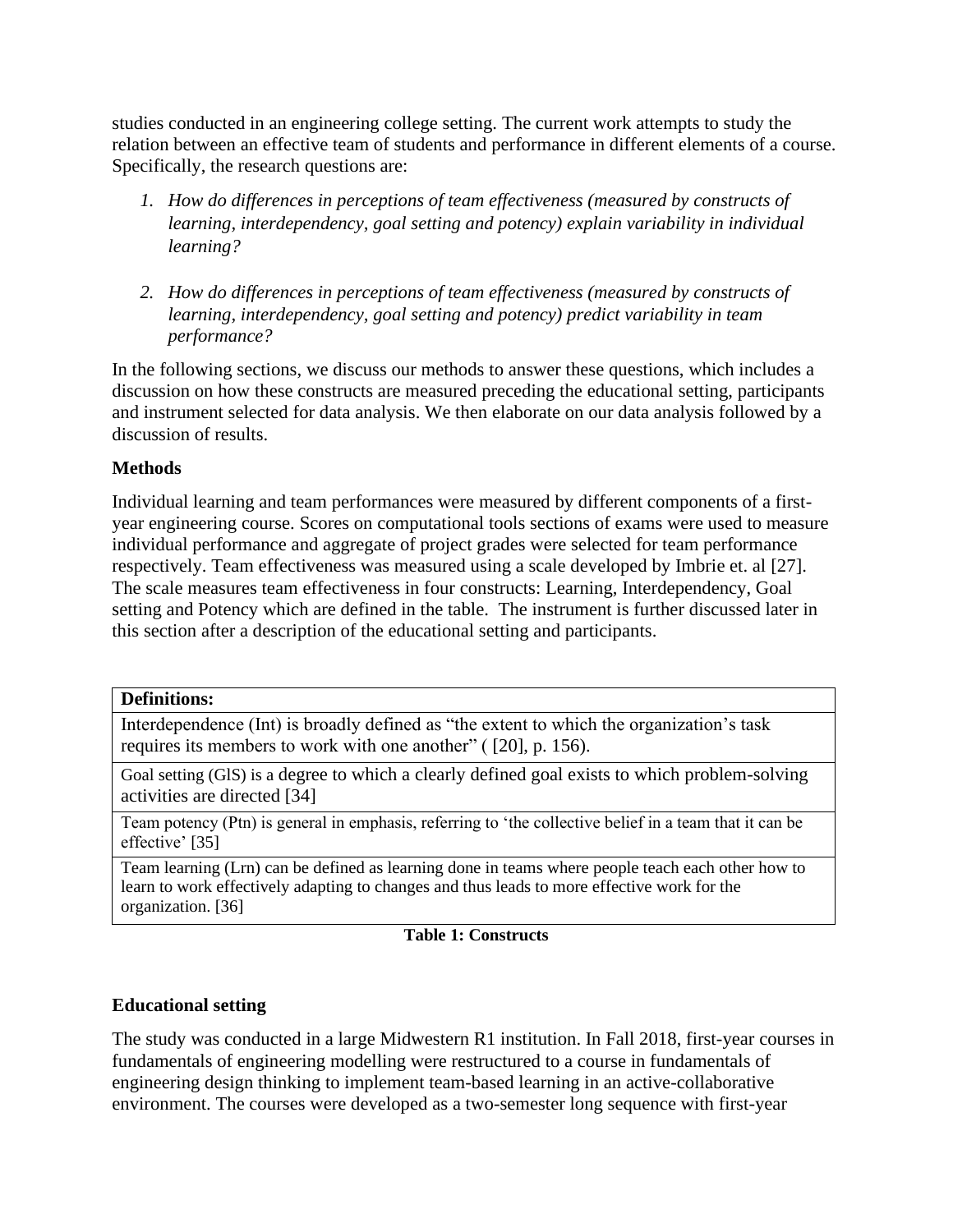studies conducted in an engineering college setting. The current work attempts to study the relation between an effective team of students and performance in different elements of a course. Specifically, the research questions are:

- *1. How do differences in perceptions of team effectiveness (measured by constructs of learning, interdependency, goal setting and potency) explain variability in individual learning?*
- *2. How do differences in perceptions of team effectiveness (measured by constructs of learning, interdependency, goal setting and potency) predict variability in team performance?*

In the following sections, we discuss our methods to answer these questions, which includes a discussion on how these constructs are measured preceding the educational setting, participants and instrument selected for data analysis. We then elaborate on our data analysis followed by a discussion of results.

## **Methods**

Individual learning and team performances were measured by different components of a firstyear engineering course. Scores on computational tools sections of exams were used to measure individual performance and aggregate of project grades were selected for team performance respectively. Team effectiveness was measured using a scale developed by Imbrie et. al [27]. The scale measures team effectiveness in four constructs: Learning, Interdependency, Goal setting and Potency which are defined in the table. The instrument is further discussed later in this section after a description of the educational setting and participants.

### **Definitions:**

Interdependence (Int) is broadly defined as "the extent to which the organization's task requires its members to work with one another" ( [20], p. 156).

Goal setting (GlS) is a degree to which a clearly defined goal exists to which problem-solving activities are directed [34]

Team potency (Ptn) is general in emphasis, referring to 'the collective belief in a team that it can be effective' [35]

Team learning (Lrn) can be defined as learning done in teams where people teach each other how to learn to work effectively adapting to changes and thus leads to more effective work for the organization. [36]

### **Table 1: Constructs**

# **Educational setting**

The study was conducted in a large Midwestern R1 institution. In Fall 2018, first-year courses in fundamentals of engineering modelling were restructured to a course in fundamentals of engineering design thinking to implement team-based learning in an active-collaborative environment. The courses were developed as a two-semester long sequence with first-year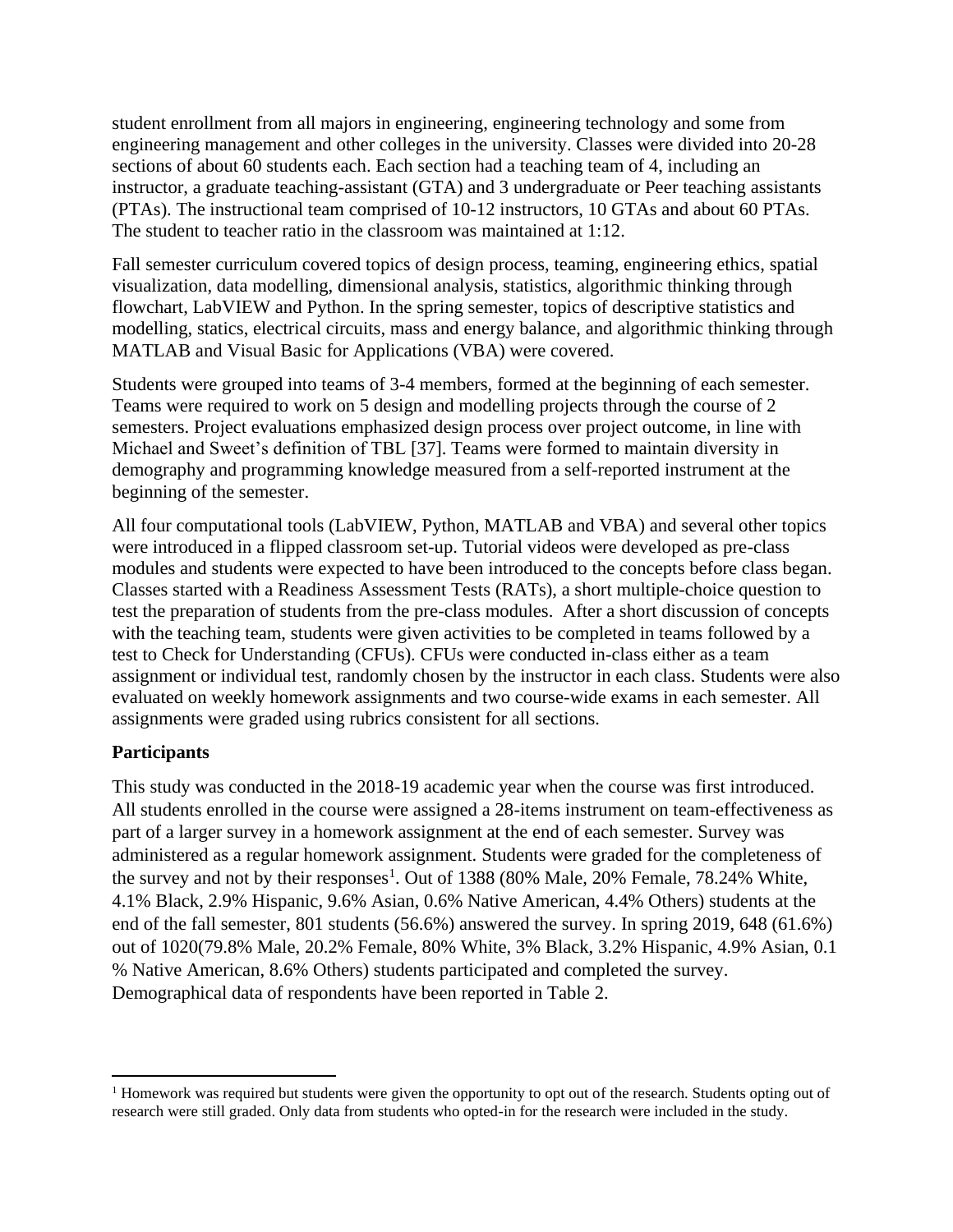student enrollment from all majors in engineering, engineering technology and some from engineering management and other colleges in the university. Classes were divided into 20-28 sections of about 60 students each. Each section had a teaching team of 4, including an instructor, a graduate teaching-assistant (GTA) and 3 undergraduate or Peer teaching assistants (PTAs). The instructional team comprised of 10-12 instructors, 10 GTAs and about 60 PTAs. The student to teacher ratio in the classroom was maintained at 1:12.

Fall semester curriculum covered topics of design process, teaming, engineering ethics, spatial visualization, data modelling, dimensional analysis, statistics, algorithmic thinking through flowchart, LabVIEW and Python. In the spring semester, topics of descriptive statistics and modelling, statics, electrical circuits, mass and energy balance, and algorithmic thinking through MATLAB and Visual Basic for Applications (VBA) were covered.

Students were grouped into teams of 3-4 members, formed at the beginning of each semester. Teams were required to work on 5 design and modelling projects through the course of 2 semesters. Project evaluations emphasized design process over project outcome, in line with Michael and Sweet's definition of TBL [37]. Teams were formed to maintain diversity in demography and programming knowledge measured from a self-reported instrument at the beginning of the semester.

All four computational tools (LabVIEW, Python, MATLAB and VBA) and several other topics were introduced in a flipped classroom set-up. Tutorial videos were developed as pre-class modules and students were expected to have been introduced to the concepts before class began. Classes started with a Readiness Assessment Tests (RATs), a short multiple-choice question to test the preparation of students from the pre-class modules. After a short discussion of concepts with the teaching team, students were given activities to be completed in teams followed by a test to Check for Understanding (CFUs). CFUs were conducted in-class either as a team assignment or individual test, randomly chosen by the instructor in each class. Students were also evaluated on weekly homework assignments and two course-wide exams in each semester. All assignments were graded using rubrics consistent for all sections.

### **Participants**

This study was conducted in the 2018-19 academic year when the course was first introduced. All students enrolled in the course were assigned a 28-items instrument on team-effectiveness as part of a larger survey in a homework assignment at the end of each semester. Survey was administered as a regular homework assignment. Students were graded for the completeness of the survey and not by their responses<sup>1</sup>. Out of  $1388$  (80% Male, 20% Female, 78.24% White, 4.1% Black, 2.9% Hispanic, 9.6% Asian, 0.6% Native American, 4.4% Others) students at the end of the fall semester, 801 students (56.6%) answered the survey. In spring 2019, 648 (61.6%) out of 1020(79.8% Male, 20.2% Female, 80% White, 3% Black, 3.2% Hispanic, 4.9% Asian, 0.1 % Native American, 8.6% Others) students participated and completed the survey. Demographical data of respondents have been reported in Table 2.

<sup>&</sup>lt;sup>1</sup> Homework was required but students were given the opportunity to opt out of the research. Students opting out of research were still graded. Only data from students who opted-in for the research were included in the study.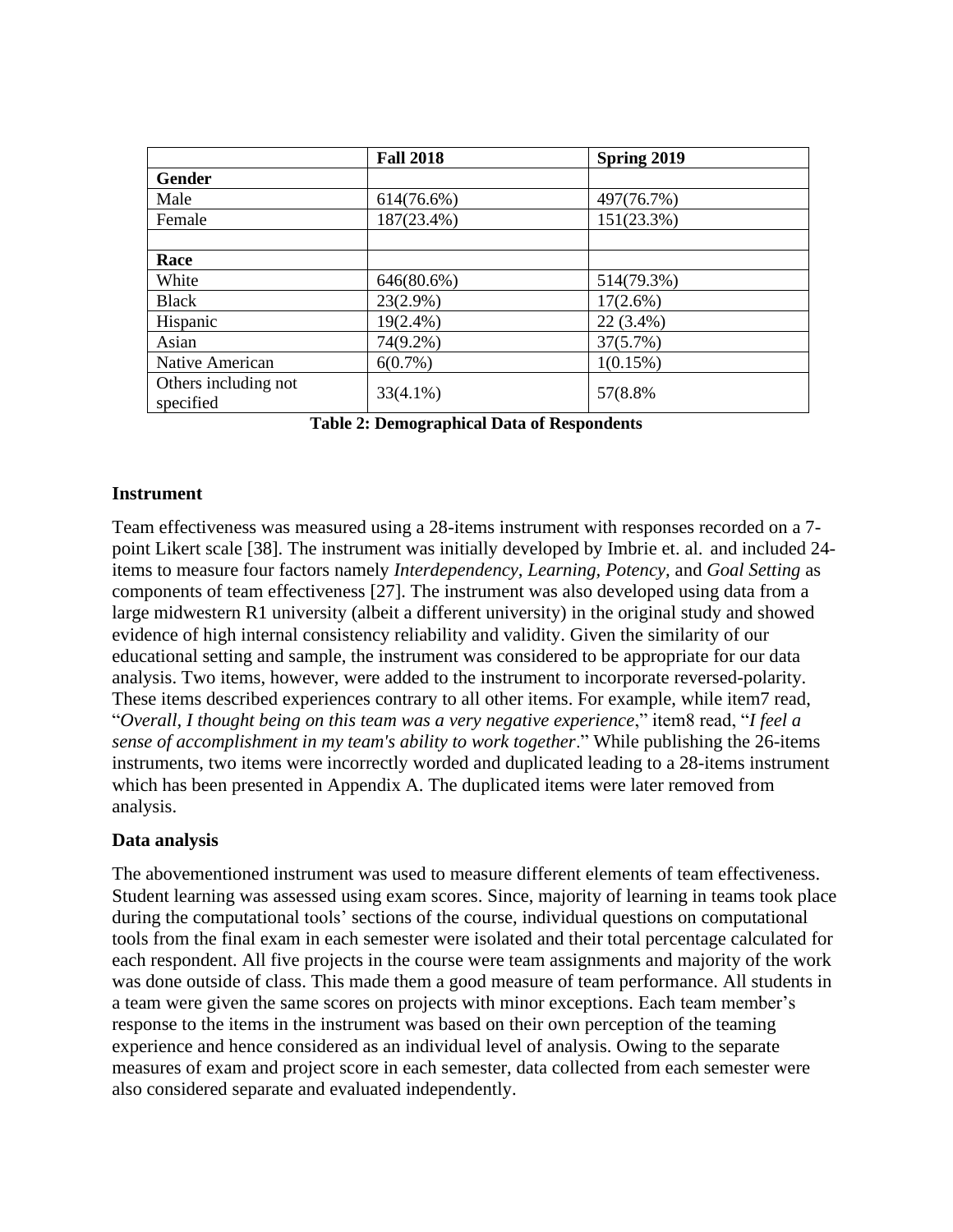|                                   | <b>Fall 2018</b> | Spring 2019 |
|-----------------------------------|------------------|-------------|
| <b>Gender</b>                     |                  |             |
| Male                              | 614(76.6%)       | 497(76.7%)  |
| Female                            | 187(23.4%)       | 151(23.3%)  |
|                                   |                  |             |
| Race                              |                  |             |
| White                             | 646(80.6%)       | 514(79.3%)  |
| <b>Black</b>                      | $23(2.9\%)$      | $17(2.6\%)$ |
| Hispanic                          | $19(2.4\%)$      | 22 (3.4%)   |
| Asian                             | 74(9.2%)         | 37(5.7%)    |
| Native American                   | $6(0.7\%)$       | 1(0.15%)    |
| Others including not<br>specified | $33(4.1\%)$      | 57(8.8%)    |

**Table 2: Demographical Data of Respondents**

### **Instrument**

Team effectiveness was measured using a 28-items instrument with responses recorded on a 7 point Likert scale [38]. The instrument was initially developed by Imbrie et. al. and included 24 items to measure four factors namely *Interdependency, Learning, Potency,* and *Goal Setting* as components of team effectiveness [27]. The instrument was also developed using data from a large midwestern R1 university (albeit a different university) in the original study and showed evidence of high internal consistency reliability and validity. Given the similarity of our educational setting and sample, the instrument was considered to be appropriate for our data analysis. Two items, however, were added to the instrument to incorporate reversed-polarity. These items described experiences contrary to all other items. For example, while item7 read, "*Overall, I thought being on this team was a very negative experience*," item8 read, "*I feel a sense of accomplishment in my team's ability to work together*." While publishing the 26-items instruments, two items were incorrectly worded and duplicated leading to a 28-items instrument which has been presented in Appendix A. The duplicated items were later removed from analysis.

### **Data analysis**

The abovementioned instrument was used to measure different elements of team effectiveness. Student learning was assessed using exam scores. Since, majority of learning in teams took place during the computational tools' sections of the course, individual questions on computational tools from the final exam in each semester were isolated and their total percentage calculated for each respondent. All five projects in the course were team assignments and majority of the work was done outside of class. This made them a good measure of team performance. All students in a team were given the same scores on projects with minor exceptions. Each team member's response to the items in the instrument was based on their own perception of the teaming experience and hence considered as an individual level of analysis. Owing to the separate measures of exam and project score in each semester, data collected from each semester were also considered separate and evaluated independently.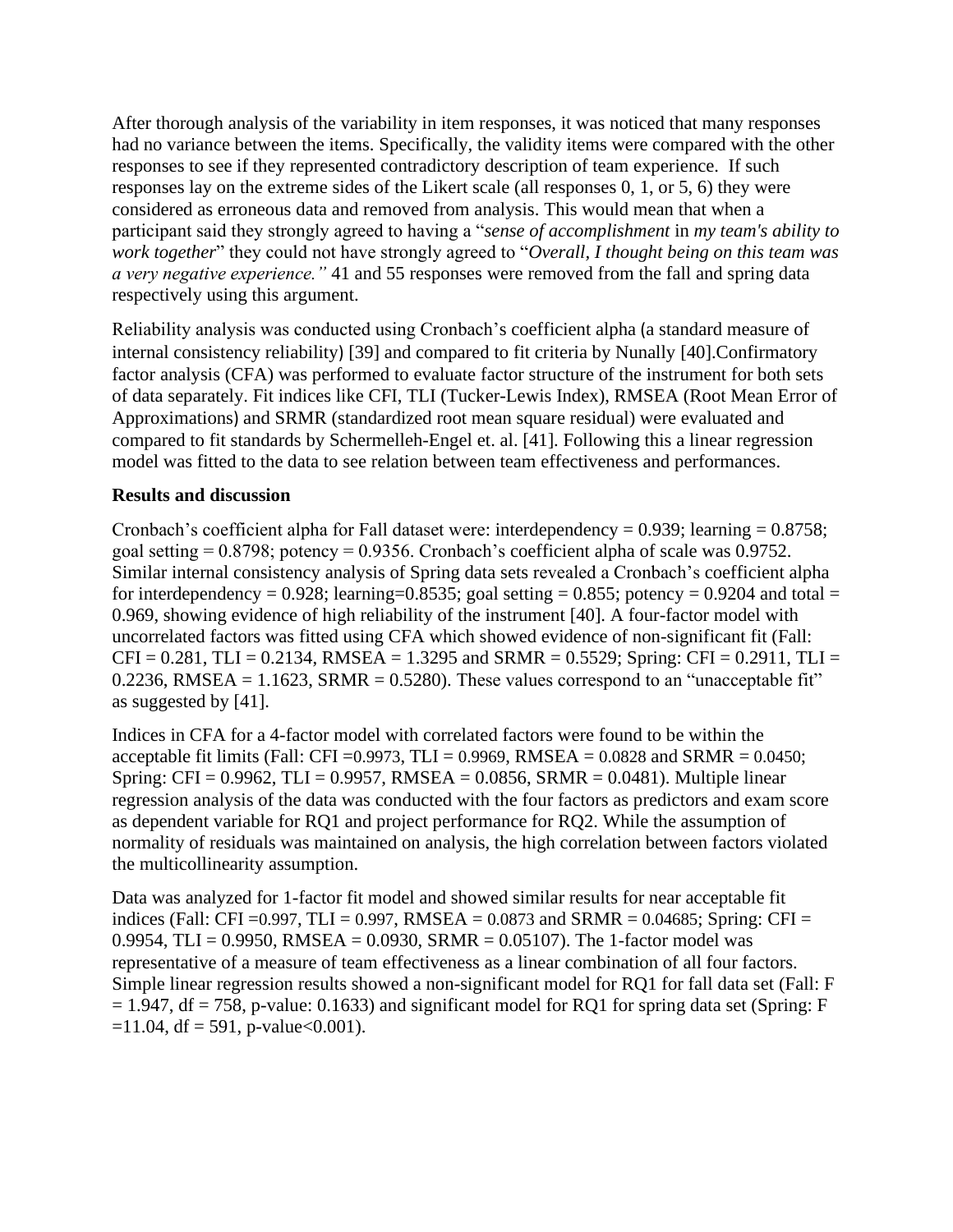After thorough analysis of the variability in item responses, it was noticed that many responses had no variance between the items. Specifically, the validity items were compared with the other responses to see if they represented contradictory description of team experience. If such responses lay on the extreme sides of the Likert scale (all responses 0, 1, or 5, 6) they were considered as erroneous data and removed from analysis. This would mean that when a participant said they strongly agreed to having a "*sense of accomplishment* in *my team's ability to work together*" they could not have strongly agreed to "*Overall, I thought being on this team was a very negative experience."* 41 and 55 responses were removed from the fall and spring data respectively using this argument.

Reliability analysis was conducted using Cronbach's coefficient alpha (a standard measure of internal consistency reliability) [39] and compared to fit criteria by Nunally [40].Confirmatory factor analysis (CFA) was performed to evaluate factor structure of the instrument for both sets of data separately. Fit indices like CFI, TLI (Tucker-Lewis Index), RMSEA (Root Mean Error of Approximations) and SRMR (standardized root mean square residual) were evaluated and compared to fit standards by Schermelleh-Engel et. al. [41]. Following this a linear regression model was fitted to the data to see relation between team effectiveness and performances.

## **Results and discussion**

Cronbach's coefficient alpha for Fall dataset were: interdependency =  $0.939$ ; learning =  $0.8758$ ; goal setting  $= 0.8798$ ; potency  $= 0.9356$ . Cronbach's coefficient alpha of scale was 0.9752. Similar internal consistency analysis of Spring data sets revealed a Cronbach's coefficient alpha for interdependency = 0.928; learning=0.8535; goal setting = 0.855; potency = 0.9204 and total = 0.969, showing evidence of high reliability of the instrument [40]. A four-factor model with uncorrelated factors was fitted using CFA which showed evidence of non-significant fit (Fall:  $CFI = 0.281$ ,  $TLI = 0.2134$ , RMSEA = 1.3295 and SRMR = 0.5529; Spring: CFI = 0.2911, TLI = 0.2236, RMSEA =  $1.1623$ , SRMR = 0.5280). These values correspond to an "unacceptable fit" as suggested by [41].

Indices in CFA for a 4-factor model with correlated factors were found to be within the acceptable fit limits (Fall: CFI = 0.9973, TLI = 0.9969, RMSEA = 0.0828 and SRMR = 0.0450; Spring: CFI =  $0.9962$ , TLI =  $0.9957$ , RMSEA =  $0.0856$ , SRMR =  $0.0481$ ). Multiple linear regression analysis of the data was conducted with the four factors as predictors and exam score as dependent variable for RQ1 and project performance for RQ2. While the assumption of normality of residuals was maintained on analysis, the high correlation between factors violated the multicollinearity assumption.

Data was analyzed for 1-factor fit model and showed similar results for near acceptable fit indices (Fall: CFI = 0.997, TLI = 0.997, RMSEA = 0.0873 and SRMR = 0.04685; Spring: CFI = 0.9954, TLI = 0.9950, RMSEA = 0.0930, SRMR = 0.05107). The 1-factor model was representative of a measure of team effectiveness as a linear combination of all four factors. Simple linear regression results showed a non-significant model for RQ1 for fall data set (Fall: F  $= 1.947$ , df  $= 758$ , p-value: 0.1633) and significant model for RQ1 for spring data set (Spring: F  $=11.04$ , df = 591, p-value<0.001).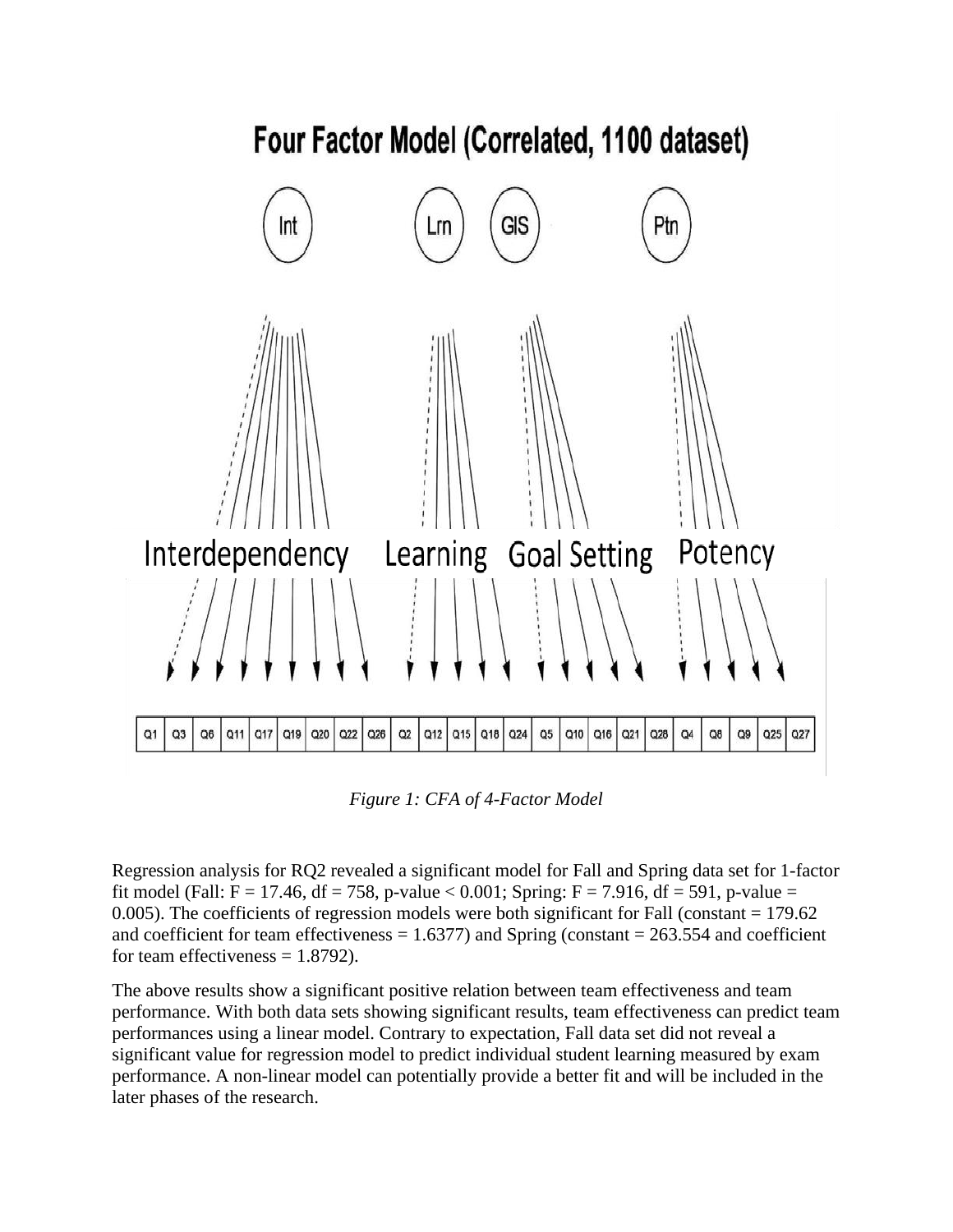

*Figure 1: CFA of 4-Factor Model* 

Regression analysis for RQ2 revealed a significant model for Fall and Spring data set for 1-factor fit model (Fall: F = 17.46, df = 758, p-value < 0.001; Spring: F = 7.916, df = 591, p-value = 0.005). The coefficients of regression models were both significant for Fall (constant = 179.62 and coefficient for team effectiveness  $= 1.6377$ ) and Spring (constant  $= 263.554$  and coefficient for team effectiveness  $= 1.8792$ ).

The above results show a significant positive relation between team effectiveness and team performance. With both data sets showing significant results, team effectiveness can predict team performances using a linear model. Contrary to expectation, Fall data set did not reveal a significant value for regression model to predict individual student learning measured by exam performance. A non-linear model can potentially provide a better fit and will be included in the later phases of the research.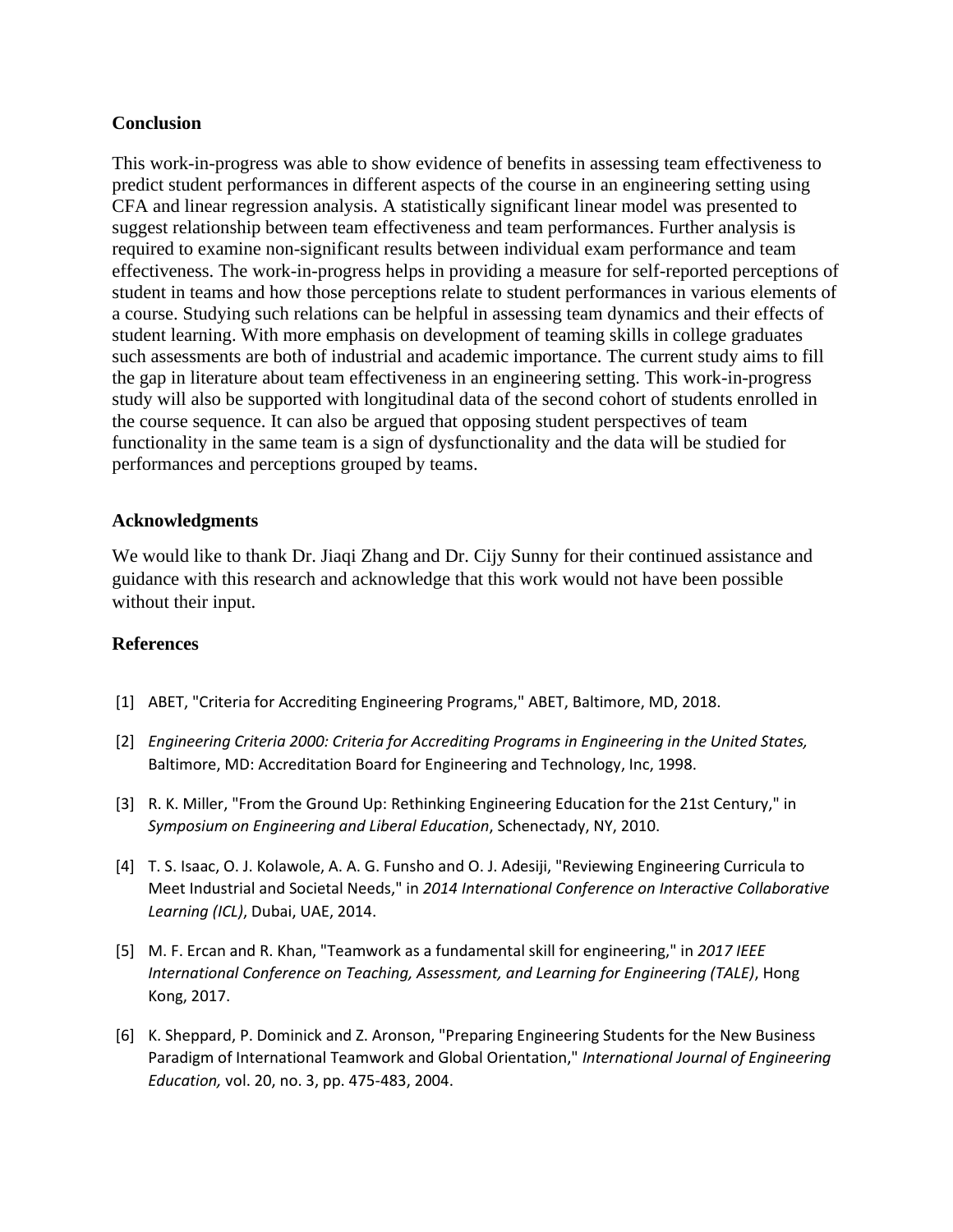### **Conclusion**

This work-in-progress was able to show evidence of benefits in assessing team effectiveness to predict student performances in different aspects of the course in an engineering setting using CFA and linear regression analysis. A statistically significant linear model was presented to suggest relationship between team effectiveness and team performances. Further analysis is required to examine non-significant results between individual exam performance and team effectiveness. The work-in-progress helps in providing a measure for self-reported perceptions of student in teams and how those perceptions relate to student performances in various elements of a course. Studying such relations can be helpful in assessing team dynamics and their effects of student learning. With more emphasis on development of teaming skills in college graduates such assessments are both of industrial and academic importance. The current study aims to fill the gap in literature about team effectiveness in an engineering setting. This work-in-progress study will also be supported with longitudinal data of the second cohort of students enrolled in the course sequence. It can also be argued that opposing student perspectives of team functionality in the same team is a sign of dysfunctionality and the data will be studied for performances and perceptions grouped by teams.

### **Acknowledgments**

We would like to thank Dr. Jiaqi Zhang and Dr. Cijy Sunny for their continued assistance and guidance with this research and acknowledge that this work would not have been possible without their input.

### **References**

- [1] ABET, "Criteria for Accrediting Engineering Programs," ABET, Baltimore, MD, 2018.
- [2] *Engineering Criteria 2000: Criteria for Accrediting Programs in Engineering in the United States,*  Baltimore, MD: Accreditation Board for Engineering and Technology, Inc, 1998.
- [3] R. K. Miller, "From the Ground Up: Rethinking Engineering Education for the 21st Century," in *Symposium on Engineering and Liberal Education*, Schenectady, NY, 2010.
- [4] T. S. Isaac, O. J. Kolawole, A. A. G. Funsho and O. J. Adesiji, "Reviewing Engineering Curricula to Meet Industrial and Societal Needs," in *2014 International Conference on Interactive Collaborative Learning (ICL)*, Dubai, UAE, 2014.
- [5] M. F. Ercan and R. Khan, "Teamwork as a fundamental skill for engineering," in *2017 IEEE International Conference on Teaching, Assessment, and Learning for Engineering (TALE)*, Hong Kong, 2017.
- [6] K. Sheppard, P. Dominick and Z. Aronson, "Preparing Engineering Students for the New Business Paradigm of International Teamwork and Global Orientation," *International Journal of Engineering Education,* vol. 20, no. 3, pp. 475-483, 2004.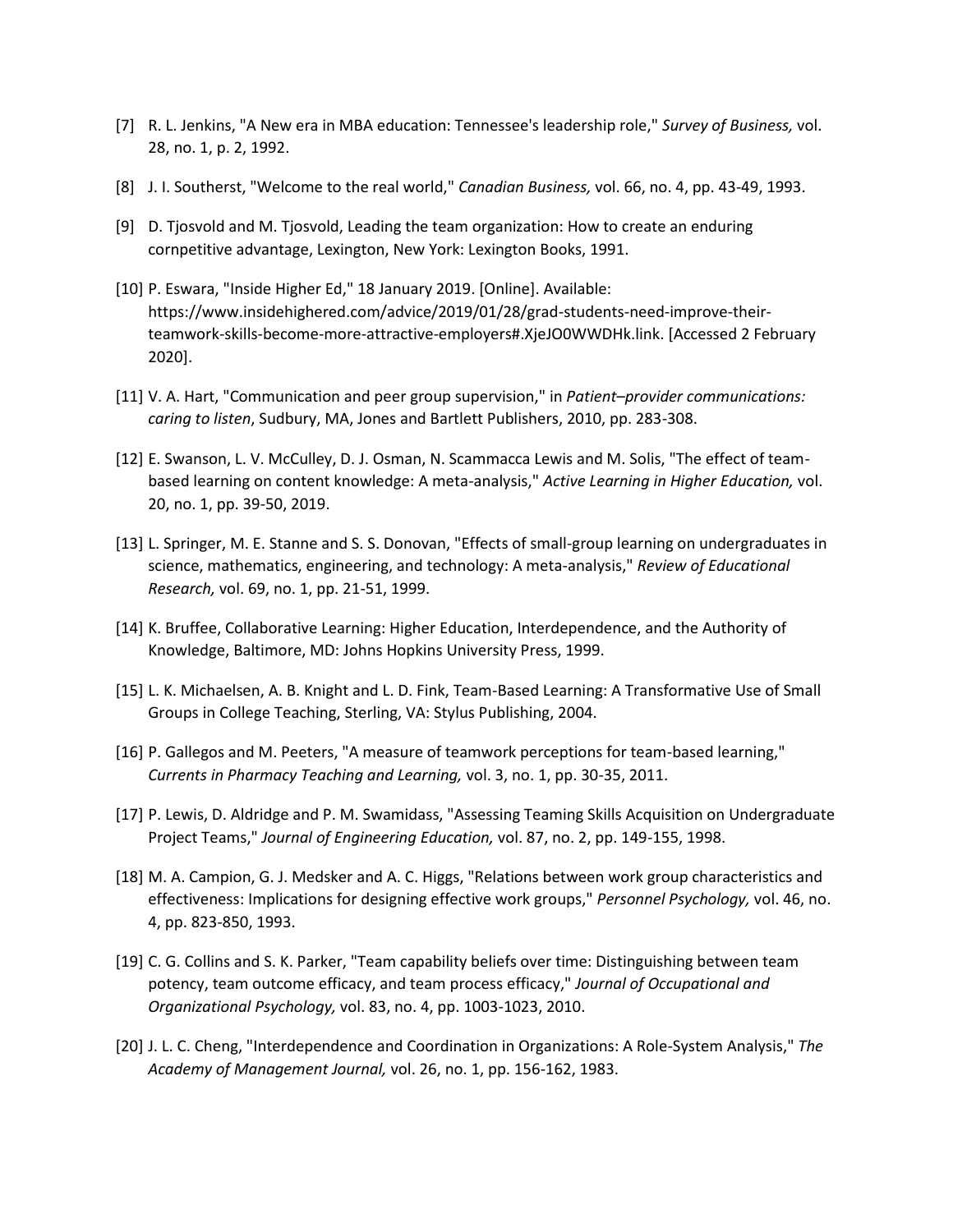- [7] R. L. Jenkins, "A New era in MBA education: Tennessee's leadership role," *Survey of Business,* vol. 28, no. 1, p. 2, 1992.
- [8] J. I. Southerst, "Welcome to the real world," *Canadian Business,* vol. 66, no. 4, pp. 43-49, 1993.
- [9] D. Tjosvold and M. Tjosvold, Leading the team organization: How to create an enduring cornpetitive advantage, Lexington, New York: Lexington Books, 1991.
- [10] P. Eswara, "Inside Higher Ed," 18 January 2019. [Online]. Available: https://www.insidehighered.com/advice/2019/01/28/grad-students-need-improve-theirteamwork-skills-become-more-attractive-employers#.XjeJO0WWDHk.link. [Accessed 2 February 2020].
- [11] V. A. Hart, "Communication and peer group supervision," in *Patient–provider communications: caring to listen*, Sudbury, MA, Jones and Bartlett Publishers, 2010, pp. 283-308.
- [12] E. Swanson, L. V. McCulley, D. J. Osman, N. Scammacca Lewis and M. Solis, "The effect of teambased learning on content knowledge: A meta-analysis," *Active Learning in Higher Education,* vol. 20, no. 1, pp. 39-50, 2019.
- [13] L. Springer, M. E. Stanne and S. S. Donovan, "Effects of small-group learning on undergraduates in science, mathematics, engineering, and technology: A meta-analysis," *Review of Educational Research,* vol. 69, no. 1, pp. 21-51, 1999.
- [14] K. Bruffee, Collaborative Learning: Higher Education, Interdependence, and the Authority of Knowledge, Baltimore, MD: Johns Hopkins University Press, 1999.
- [15] L. K. Michaelsen, A. B. Knight and L. D. Fink, Team-Based Learning: A Transformative Use of Small Groups in College Teaching, Sterling, VA: Stylus Publishing, 2004.
- [16] P. Gallegos and M. Peeters, "A measure of teamwork perceptions for team-based learning," *Currents in Pharmacy Teaching and Learning,* vol. 3, no. 1, pp. 30-35, 2011.
- [17] P. Lewis, D. Aldridge and P. M. Swamidass, "Assessing Teaming Skills Acquisition on Undergraduate Project Teams," *Journal of Engineering Education,* vol. 87, no. 2, pp. 149-155, 1998.
- [18] M. A. Campion, G. J. Medsker and A. C. Higgs, "Relations between work group characteristics and effectiveness: Implications for designing effective work groups," *Personnel Psychology,* vol. 46, no. 4, pp. 823-850, 1993.
- [19] C. G. Collins and S. K. Parker, "Team capability beliefs over time: Distinguishing between team potency, team outcome efficacy, and team process efficacy," *Journal of Occupational and Organizational Psychology,* vol. 83, no. 4, pp. 1003-1023, 2010.
- [20] J. L. C. Cheng, "Interdependence and Coordination in Organizations: A Role-System Analysis," *The Academy of Management Journal,* vol. 26, no. 1, pp. 156-162, 1983.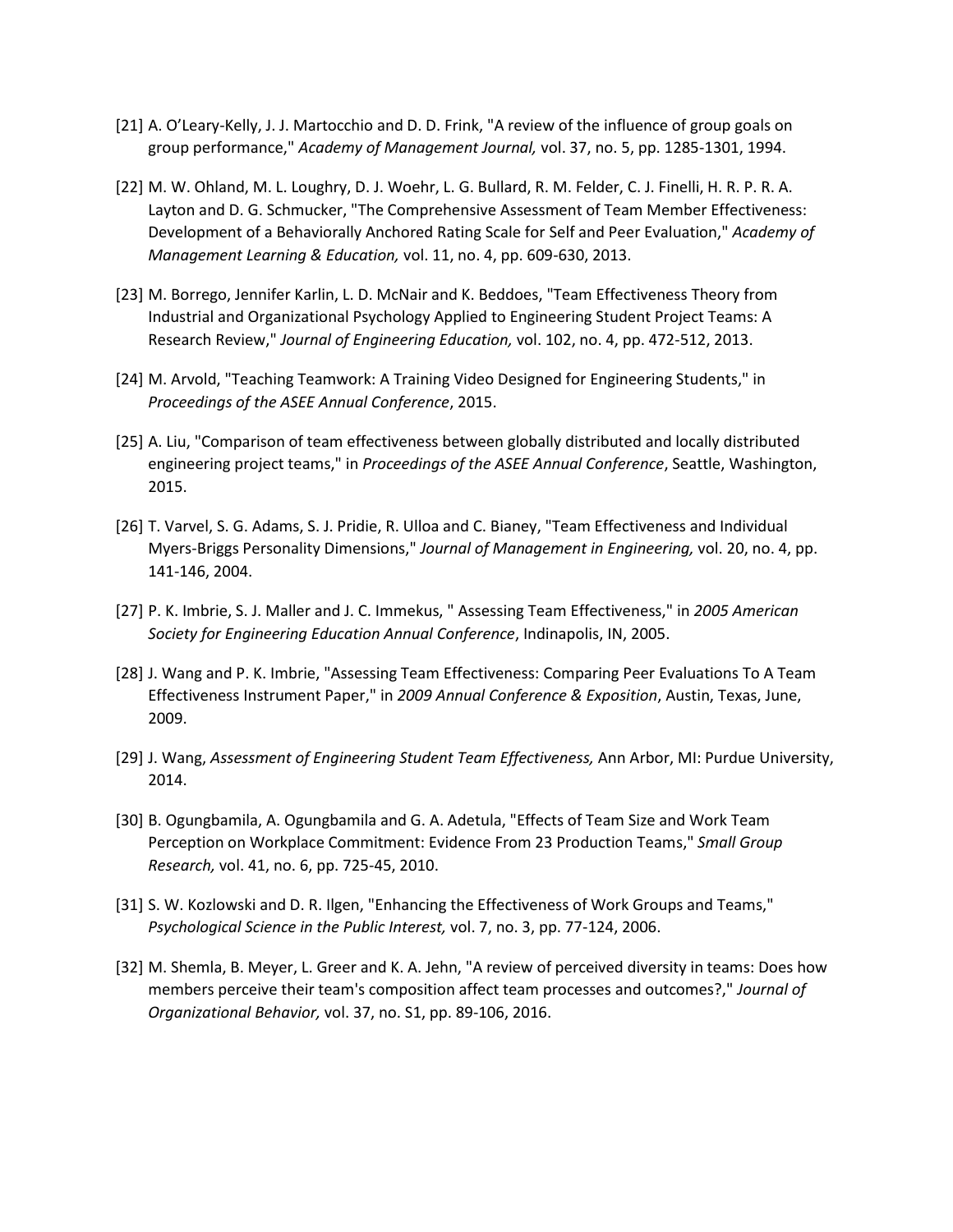- [21] A. O'Leary-Kelly, J. J. Martocchio and D. D. Frink, "A review of the influence of group goals on group performance," *Academy of Management Journal,* vol. 37, no. 5, pp. 1285-1301, 1994.
- [22] M. W. Ohland, M. L. Loughry, D. J. Woehr, L. G. Bullard, R. M. Felder, C. J. Finelli, H. R. P. R. A. Layton and D. G. Schmucker, "The Comprehensive Assessment of Team Member Effectiveness: Development of a Behaviorally Anchored Rating Scale for Self and Peer Evaluation," *Academy of Management Learning & Education,* vol. 11, no. 4, pp. 609-630, 2013.
- [23] M. Borrego, Jennifer Karlin, L. D. McNair and K. Beddoes, "Team Effectiveness Theory from Industrial and Organizational Psychology Applied to Engineering Student Project Teams: A Research Review," *Journal of Engineering Education,* vol. 102, no. 4, pp. 472-512, 2013.
- [24] M. Arvold, "Teaching Teamwork: A Training Video Designed for Engineering Students," in *Proceedings of the ASEE Annual Conference*, 2015.
- [25] A. Liu, "Comparison of team effectiveness between globally distributed and locally distributed engineering project teams," in *Proceedings of the ASEE Annual Conference*, Seattle, Washington, 2015.
- [26] T. Varvel, S. G. Adams, S. J. Pridie, R. Ulloa and C. Bianey, "Team Effectiveness and Individual Myers-Briggs Personality Dimensions," *Journal of Management in Engineering,* vol. 20, no. 4, pp. 141-146, 2004.
- [27] P. K. Imbrie, S. J. Maller and J. C. Immekus, " Assessing Team Effectiveness," in *2005 American Society for Engineering Education Annual Conference*, Indinapolis, IN, 2005.
- [28] J. Wang and P. K. Imbrie, "Assessing Team Effectiveness: Comparing Peer Evaluations To A Team Effectiveness Instrument Paper," in *2009 Annual Conference & Exposition*, Austin, Texas, June, 2009.
- [29] J. Wang, *Assessment of Engineering Student Team Effectiveness,* Ann Arbor, MI: Purdue University, 2014.
- [30] B. Ogungbamila, A. Ogungbamila and G. A. Adetula, "Effects of Team Size and Work Team Perception on Workplace Commitment: Evidence From 23 Production Teams," *Small Group Research,* vol. 41, no. 6, pp. 725-45, 2010.
- [31] S. W. Kozlowski and D. R. Ilgen, "Enhancing the Effectiveness of Work Groups and Teams," *Psychological Science in the Public Interest,* vol. 7, no. 3, pp. 77-124, 2006.
- [32] M. Shemla, B. Meyer, L. Greer and K. A. Jehn, "A review of perceived diversity in teams: Does how members perceive their team's composition affect team processes and outcomes?," *Journal of Organizational Behavior,* vol. 37, no. S1, pp. 89-106, 2016.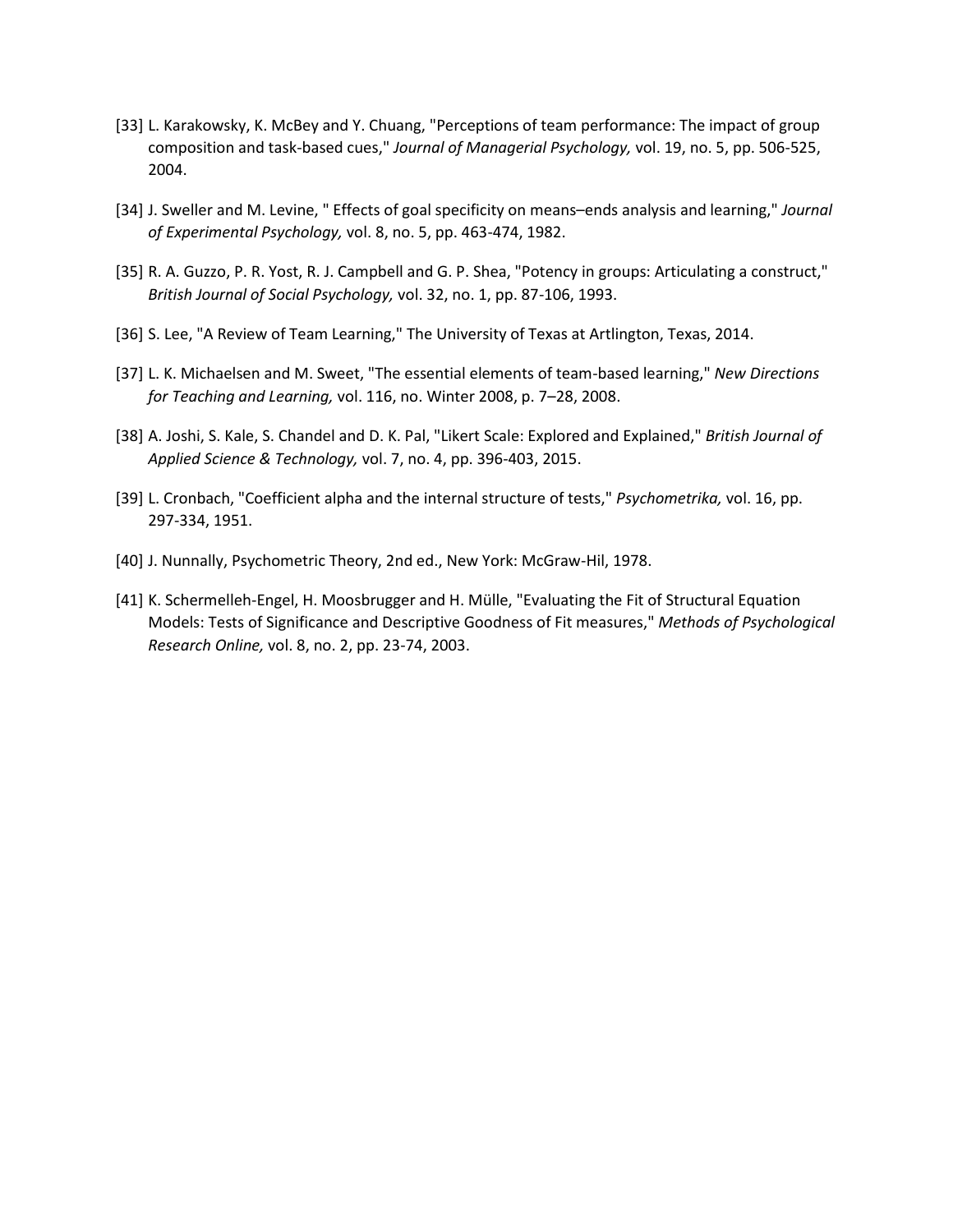- [33] L. Karakowsky, K. McBey and Y. Chuang, "Perceptions of team performance: The impact of group composition and task‐based cues," *Journal of Managerial Psychology,* vol. 19, no. 5, pp. 506-525, 2004.
- [34] J. Sweller and M. Levine, " Effects of goal specificity on means–ends analysis and learning," *Journal of Experimental Psychology,* vol. 8, no. 5, pp. 463-474, 1982.
- [35] R. A. Guzzo, P. R. Yost, R. J. Campbell and G. P. Shea, "Potency in groups: Articulating a construct," *British Journal of Social Psychology,* vol. 32, no. 1, pp. 87-106, 1993.
- [36] S. Lee, "A Review of Team Learning," The University of Texas at Artlington, Texas, 2014.
- [37] L. K. Michaelsen and M. Sweet, "The essential elements of team-based learning," *New Directions for Teaching and Learning,* vol. 116, no. Winter 2008, p. 7–28, 2008.
- [38] A. Joshi, S. Kale, S. Chandel and D. K. Pal, "Likert Scale: Explored and Explained," *British Journal of Applied Science & Technology,* vol. 7, no. 4, pp. 396-403, 2015.
- [39] L. Cronbach, "Coefficient alpha and the internal structure of tests," *Psychometrika,* vol. 16, pp. 297-334, 1951.
- [40] J. Nunnally, Psychometric Theory, 2nd ed., New York: McGraw-Hil, 1978.
- [41] K. Schermelleh-Engel, H. Moosbrugger and H. Mülle, "Evaluating the Fit of Structural Equation Models: Tests of Significance and Descriptive Goodness of Fit measures," *Methods of Psychological Research Online,* vol. 8, no. 2, pp. 23-74, 2003.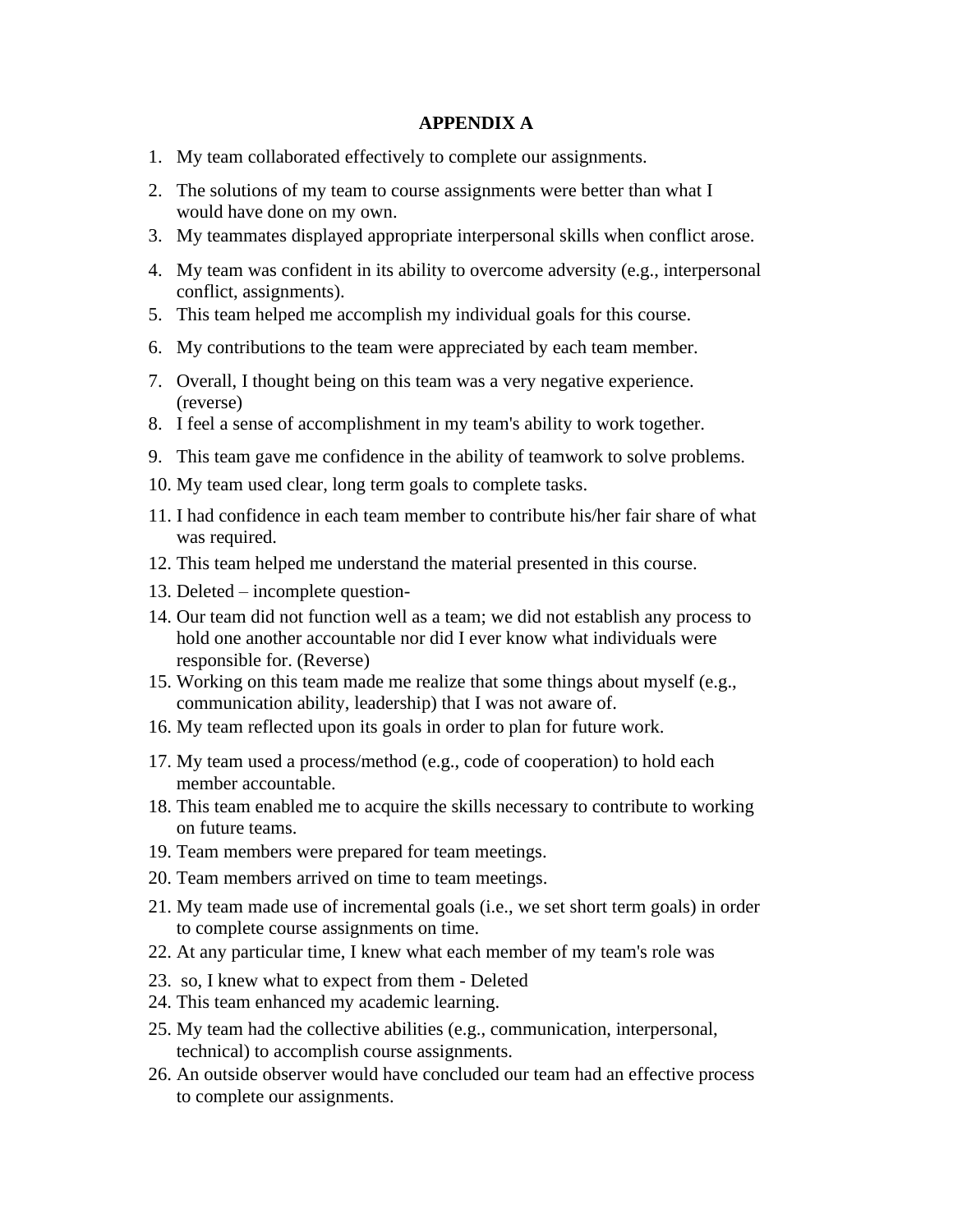### **APPENDIX A**

- 1. My team collaborated effectively to complete our assignments.
- 2. The solutions of my team to course assignments were better than what I would have done on my own.
- 3. My teammates displayed appropriate interpersonal skills when conflict arose.
- 4. My team was confident in its ability to overcome adversity (e.g., interpersonal conflict, assignments).
- 5. This team helped me accomplish my individual goals for this course.
- 6. My contributions to the team were appreciated by each team member.
- 7. Overall, I thought being on this team was a very negative experience. (reverse)
- 8. I feel a sense of accomplishment in my team's ability to work together.
- 9. This team gave me confidence in the ability of teamwork to solve problems.
- 10. My team used clear, long term goals to complete tasks.
- 11. I had confidence in each team member to contribute his/her fair share of what was required.
- 12. This team helped me understand the material presented in this course.
- 13. Deleted incomplete question-
- 14. Our team did not function well as a team; we did not establish any process to hold one another accountable nor did I ever know what individuals were responsible for. (Reverse)
- 15. Working on this team made me realize that some things about myself (e.g., communication ability, leadership) that I was not aware of.
- 16. My team reflected upon its goals in order to plan for future work.
- 17. My team used a process/method (e.g., code of cooperation) to hold each member accountable.
- 18. This team enabled me to acquire the skills necessary to contribute to working on future teams.
- 19. Team members were prepared for team meetings.
- 20. Team members arrived on time to team meetings.
- 21. My team made use of incremental goals (i.e., we set short term goals) in order to complete course assignments on time.
- 22. At any particular time, I knew what each member of my team's role was
- 23. so, I knew what to expect from them Deleted
- 24. This team enhanced my academic learning.
- 25. My team had the collective abilities (e.g., communication, interpersonal, technical) to accomplish course assignments.
- 26. An outside observer would have concluded our team had an effective process to complete our assignments.